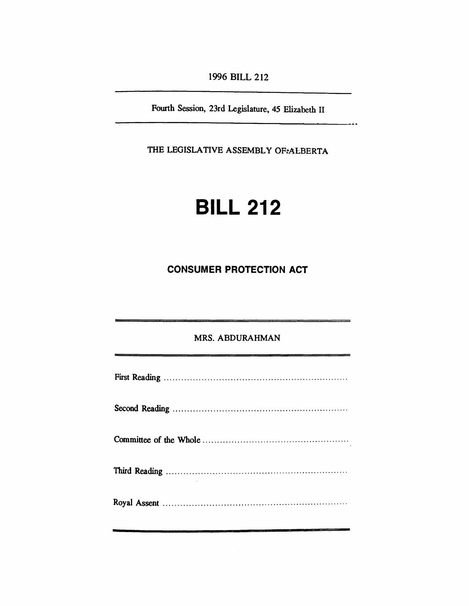*1996 BILL 212*

*Fourth Session, 23rd Legislature, 45 Elizabeth II*

.<br>د م

*THE LEGISLATIVE ASSEMBLY OF ALBERTA*

# *BILL 212*

## *CONSUMER PROTECTION ACT*

## *MRS. ABDURAHMAN*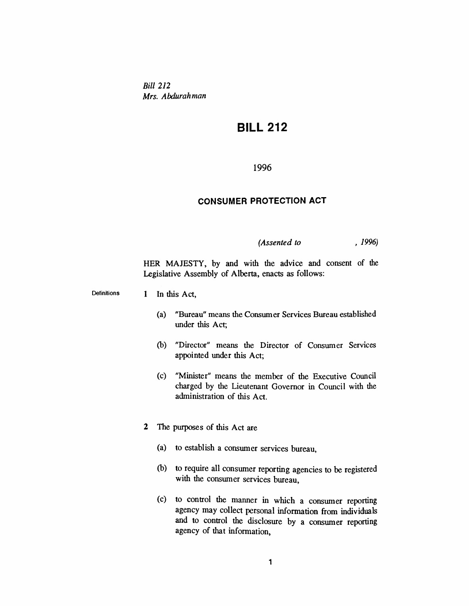*Bill 212 Mrs. Abdurahman*

## *BILL 212*

## *1996*

#### *CONSUMER PROTECTION ACT*

## *(Assented to , 1996)*

*HER MAJESTY, by and with the advice and consent of the Legislative Assembly of Alberta, enacts as follows:*

*Definitions <sup>1</sup> In this Act,*

- *(a) "Bureau" means the Consumer Services Bureau established under this Act;*
- *(b) "Director" means the Director of Consumer Services appointed under this Act;*
- *(c) "Minister" means the member of the Executive Council charged by the Lieutenant Governor in Council with the administration of this Act.*
- *2 The purposes of this Act are*
	- *(a) to establish a consumer services bureau,*
	- *(b) to require all consumer reporting agencies to be registered with the consumer services bureau,*
	- *(c) to control the manner in which a consumer reporting agency may collect personal information from individuals and to control the disclosure by a consumer reporting agency of that information,*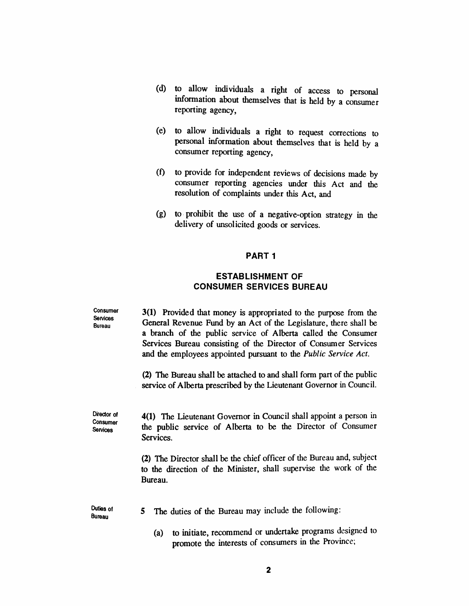- *(d) to allow individuals a right of access to personal information about themselves that is held by a consumer reporting agency,*
- *(e) to allow individuals a right to request corrections to personal information about themselves that is held by a consumer reporting agency,*
- *(f) to provide for independent reviews of decisions made by consumer reporting agencies under this Act and the resolution of complaints under this Act, and*
- *(g) to prohibit the use of a negative-option strategy in the delivery of unsolicited goods or services.*

## *PART <sup>1</sup>*

## *ESTABLISHMENT OF CONSUMER SERVICES BUREAU*

*Consumer Services Bureau 3(1) Provided that money is appropriated to the purpose from the General Revenue Fund by an Act of the Legislature, there shall be a branch of the public service of Alberta called the Consumer Services Bureau consisting of the Director of Consumer Services and the employees appointed pursuant to the Public Service Act. (2) The Bureau shall be attached to and shall form part of the public service of Alberta prescribed by the Lieutenant Governor in Council. Director of Consumer Services 4(1) The Lieutenant Governor in Council shall appoint a person in the public service of Alberta to be the Director of Consumer Services.*

> *(2) The Director shall be the chief officer of the Bureau and, subject to the direction of the Minister, shall supervise the work of the Bureau.*

*Duties of Bureau 5 The duties of the Bureau may include the following:*

> *(a) to initiate, recommend or undertake programs designed to promote the interests of consumers in the Province;*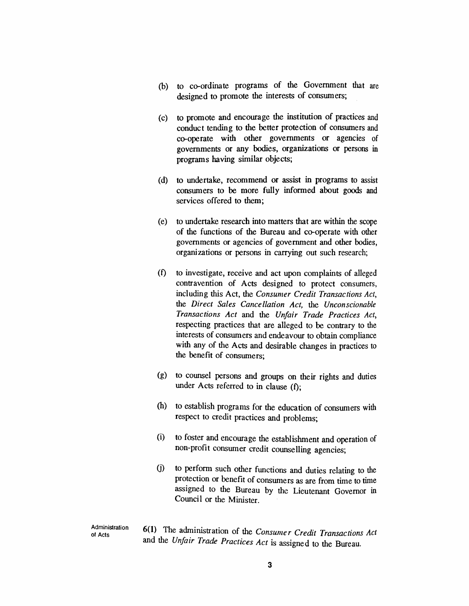- *(b) to co-ordinate programs of the Government that are designed to promote the interests of consumers;*
- *(c) to promote and encourage the institution of practices and conduct tending to the better protection of consumers and co-operate with other governments or agencies of governments or any bodies, organizations or persons in programs having similar objects;*
- *(d) to undertake, recommend or assist in programs to assist consumers to be more fully informed about goods and services offered to them;*
- *(e) to undertake research into matters that are within the scope of the functions of the Bureau and co-operate with other governments or agencies of government and other bodies, organizations or persons in carrying out such research;*
- *(f) to investigate, receive and act upon complaints of alleged contravention of Acts designed to protect consumers, including this Act, the Consumer Credit Transactions Act, the Direct Sales Cancellation Act, the Unconscionable Transactions Act and the Unfair Trade Practices Act, respecting practices that are alleged to be contrary to the interests of consumers and endeavour to obtain compliance with any of the Acts and desirable changes in practices to the benefit of consumers;*
- *(g) to counsel persons and groups on their rights and duties under Acts referred to in clause (f);*
- *(h) to establish programs for the education of consumers with respect to credit practices and problems;*
- *(i) to foster and encourage the establishment and operation of non-profit consumer credit counselling agencies;*
- *(j) to perform such other functions and duties relating to the protection or benefit of consumers as are from time to time assigned to the Bureau by the Lieutenant Governor in Council or the Minister.*

*6(1) The administration of the Consumer Credit Transactions Act and the Unfair Trade Practices Act is assigned to the Bureau.*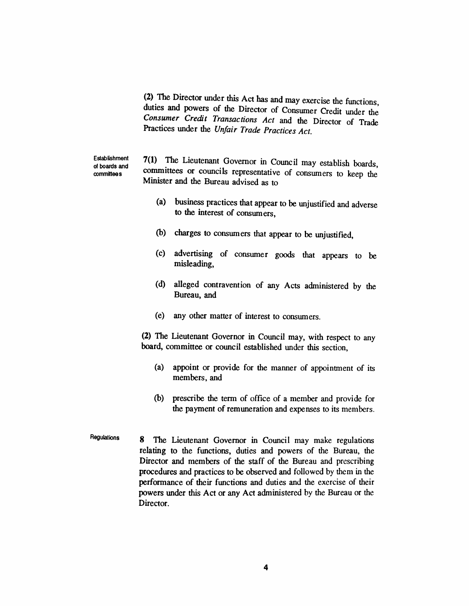*(2) The Director under this Act has and may exercise the functions duties and powers of the Director of Consumer Credit under the Consumer Credit Transactions Act and the Director of Trade Practices under the Unfair Trade Practices Act.*

*Establishment of boards and committees*

*7(1) The Lieutenant Governor in Council may establish boards, committees or councils representative of consumers to keep the Minister and the Bureau advised as to*

- *(a) business practices that appear to be unjustified and adverse to the interest of consumers,*
- *(b) charges to consumers that appear to be unjustified,*
- *(c) advertising of consumer goods that appears to be misleading,*
- *(d) alleged contravention of any Acts administered by the Bureau, and*
- *(e) any other matter of interest to consumers.*

*(2) The Lieutenant Governor in Council may, with respect to any board, committee or council established under this section,*

- *(a) appoint or provide for the manner of appointment of its members, and*
- *(b) prescribe the term of office of a member and provide for the payment of remuneration and expenses to its members.*
- *Regulations 8 The Lieutenant Governor in Council may make regulations relating to the functions, duties and powers of the Bureau, the Director and members of the staff of the Bureau and prescribing procedures and practices to be observed and followed by them in the performance of their functions and duties and the exercise of their powers under this Act or any Act administered by the Bureau or the Director.*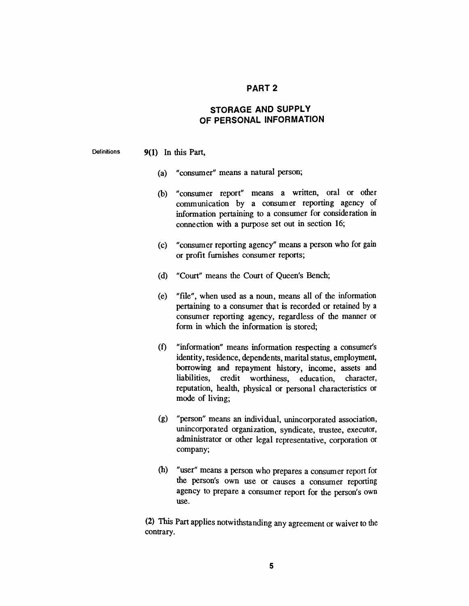## *PART 2*

## *STORAGE AND SUPPLY OF PERSONAL INFORMATION*

#### *Definitions 9(1) In this Part,*

- *(a) "consumer" means a natural person;*
- *(b) "consumer report" means a written, oral or other communication by a consumer reporting agency of information pertaining to a consumer for consideration in connection with a purpose set out in section 16;*
- *(c) "consumer reporting agency" means a person who for gain or profit furnishes consumer reports;*
- *(d) "Court" means the Court of Queen's Bench;*
- *(e) "file", when used as a noun, means all of the information pertaining to a consumer that is recorded or retained by a consumer reporting agency, regardless of the manner or form in which the information is stored;*
- *(f) "information" means information respecting a consumer's identity, residence, dependents, marital status, employment, borrowing and repayment history, income, assets and liabilities, credit worthiness, education, character, reputation, health, physical or personal characteristics or mode of living;*
- *(g) "person" means an individual, unincorporated association, unincorporated organization, syndicate, trustee, executor, administrator or other legal representative, corporation or company;*
- *(h) "user" means a person who prepares a consumer report for the person's own use or causes a consumer reporting agency to prepare a consumer report for the person's own use.*

*(2) This Part applies notwithstanding any agreement or waiver to the contrary.*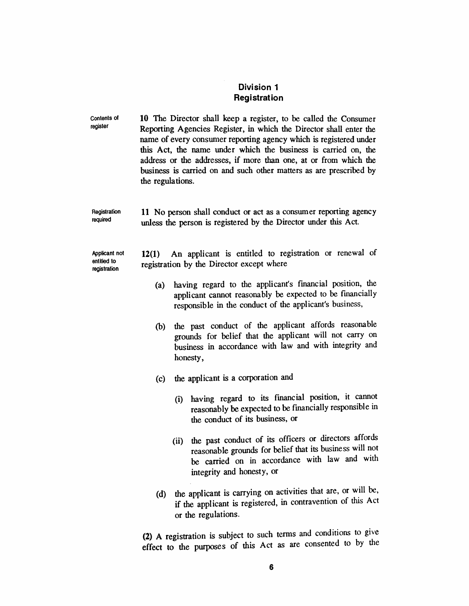## *Division <sup>1</sup> Registration*

| <b>Contents of</b><br>register               | the regulations. | 10 The Director shall keep a register, to be called the Consumer<br>Reporting Agencies Register, in which the Director shall enter the<br>name of every consumer reporting agency which is registered under<br>this Act, the name under which the business is carried on, the<br>address or the addresses, if more than one, at or from which the<br>business is carried on and such other matters as are prescribed by |
|----------------------------------------------|------------------|-------------------------------------------------------------------------------------------------------------------------------------------------------------------------------------------------------------------------------------------------------------------------------------------------------------------------------------------------------------------------------------------------------------------------|
| Registration<br>required                     |                  | 11 No person shall conduct or act as a consumer reporting agency<br>unless the person is registered by the Director under this Act.                                                                                                                                                                                                                                                                                     |
| Applicant not<br>entitled to<br>registration | 12(1)            | An applicant is entitled to registration or renewal of<br>registration by the Director except where                                                                                                                                                                                                                                                                                                                     |
|                                              | (a)              | having regard to the applicant's financial position, the<br>applicant cannot reasonably be expected to be financially<br>responsible in the conduct of the applicant's business,                                                                                                                                                                                                                                        |
|                                              | (b)              | the past conduct of the applicant affords reasonable<br>grounds for belief that the applicant will not carry on<br>business in accordance with law and with integrity and<br>honesty,                                                                                                                                                                                                                                   |
|                                              | (c)              | the applicant is a corporation and                                                                                                                                                                                                                                                                                                                                                                                      |
|                                              |                  | having regard to its financial position, it cannot<br>(i)<br>reasonably be expected to be financially responsible in<br>the conduct of its business, or                                                                                                                                                                                                                                                                 |
|                                              |                  | the past conduct of its officers or directors affords<br>(ii)<br>reasonable grounds for belief that its business will not<br>be carried on in accordance with law and with<br>integrity and honesty, or                                                                                                                                                                                                                 |
|                                              | (d)              | the applicant is carrying on activities that are, or will be,<br>if the applicant is registered, in contravention of this Act<br>or the regulations.                                                                                                                                                                                                                                                                    |

*(2) A registration is subject to such terms and conditions to give effect to the purposes of this Act as are consented to by the*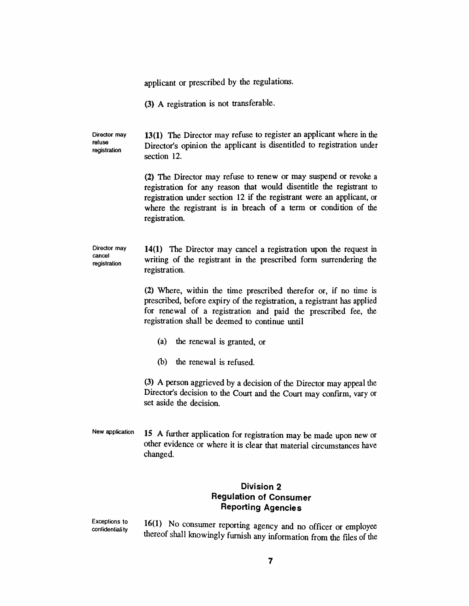*applicant or prescribed by the regulations.*

*(3) A registration is not transferable.*

*Director may refuse registration 13(1) The Director may refuse to register an applicant where in the Director's opinion the applicant is disentitled to registration under section 12.*

> *(2) The Director may refuse to renew or may suspend or revoke a registration for any reason that would disentitle the registrant to registration under section 12 if the registrant were an applicant, or where the registrant is in breach of a term or condition of the registration.*

*Director may cancel registration 14(1) The Director may cancel a registration upon the request in writing of the registrant in the prescribed form surrendering the registration.*

> *(2) Where, within the time prescribed therefor or, if no time is prescribed, before expiry of the registration, a registrant has applied for renewal of a registration and paid the prescribed fee, the registration shall be deemed to continue until*

- *(a) the renewal is granted, or*
- *(b) the renewal is refused.*

*(3) A person aggrieved by a decision of the Director may appeal the Director's decision to the Court and the Court may confirm, vary or set aside the decision.*

*New application 15 A further application for registration may be made upon new or other evidence or where it is clear that material circumstances have changed.*

## *Division 2 Regulation of Consumer Reporting Agencies*

*Exceptions to confidentiality 16(1) No consumer reporting agency and no officer or employee thereof shall knowingly furnish any information from the files of the*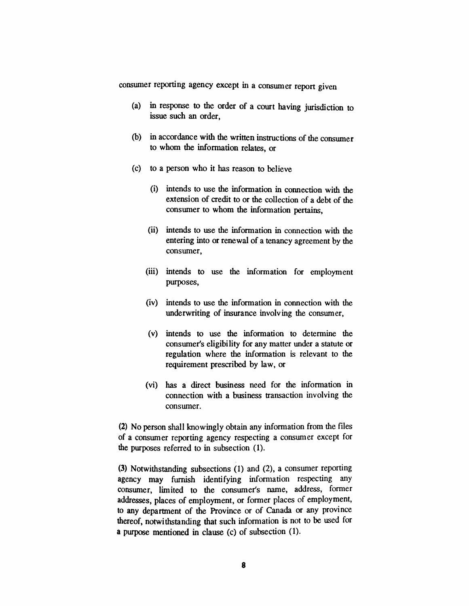*consumer reporting agency except in a consumer report given*

- *(a) in response to the order of a court having jurisdiction to issue such an order,*
- *(b) in accordance with the written instructions of the consumer to whom the information relates, or*
- *(c) to a person who it has reason to believe*
	- *(i) intends to use the information in connection with the extension of credit to or the collection of a debt of the consumer to whom the information pertains,*
	- *(ii) intends to use the information in connection with the entering into or renewal of a tenancy agreement by the consumer,*
	- *(iii) intends to use the information for employment purposes,*
	- *(iv) intends to use the information in connection with the underwriting of insurance involving the consumer,*
	- *(v) intends to use the information to determine the consumer's eligibility for any matter under a statute or regulation where the information is relevant to the requirement prescribed by law, or*
	- *(vi) has a direct business need for the information in connection with a business transaction involving the consumer.*

*(2) No person shall knowingly obtain any information from the files of a consumer reporting agency respecting a consumer except for the purposes referred to in subsection (1).*

*(3) Notwithstanding subsections (1) and (2), a consumer reporting agency may furnish identifying information respecting any consumer, limited to the consumer's name, address, former addresses, places of employment, or former places of employment, to any department of the Province or of Canada or any province thereof, notwithstanding that such information is not to be used for a purpose mentioned in clause (c) of subsection (1).*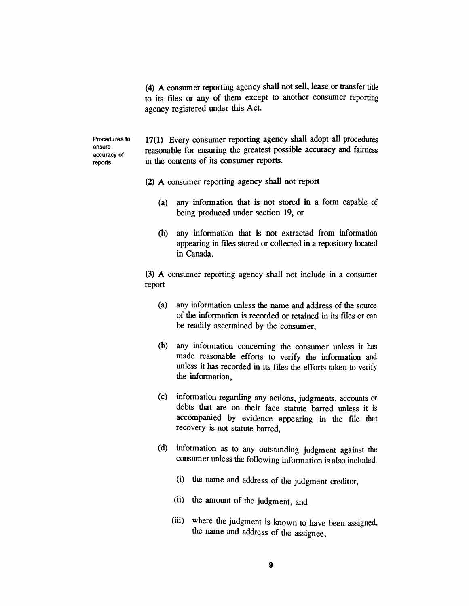*(4) A consumer reporting agency shall not sell, lease or transfer title to its files or any of them except to another consumer reporting agency registered under this Act.*

*Procedures to ensure accuracy of reports*

*17(1) Every consumer reporting agency shall adopt all procedures reasonable for ensuring the greatest possible accuracy and fairness in the contents of its consumer reports.*

- *(2) A consumer reporting agency shall not report*
	- *(a) any information that is not stored in a form capable of being produced under section 19, or*
	- *(b) any information that is not extracted from information appearing in files stored or collected in a repository located in Canada.*

*(3) A consumer reporting agency shall not include in a consumer report*

- *(a) any information unless the name and address of the source of the information is recorded or retained in its files or can be readily ascertained by the consumer,*
- *(b) any information concerning the consumer unless it has made reasonable efforts to verify the information and unless it has recorded in its files the efforts taken to verify the information,*
- *(c) information regarding any actions, judgments, accounts or debts that are on their face statute barred unless it is accompanied by evidence appearing in the file that recovery is not statute barred,*
- *(d) information as to any outstanding judgment against the consumer unless the following information is also included:*
	- *(i) the name and address of the judgment creditor,*
	- *(ii) the amount of the judgment, and*
	- *(iii) where the judgment is known to have been assigned, the name and address of the assignee,*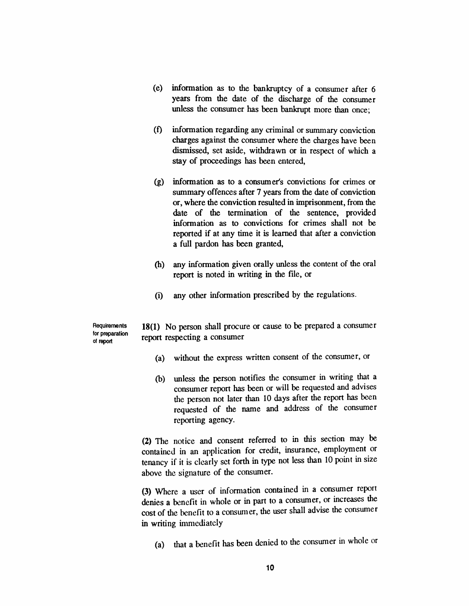- *(e) information as to the bankruptcy of a consumer after 6 years from the date of the discharge of the consumer unless the consumer has been bankrupt more than once;*
- *(f) information regarding any criminal or summary conviction charges against the consumer where the charges have been dismissed, set aside, withdrawn or in respect of which a stay of proceedings has been entered,*
- *(g) information as to a consumer's convictions for crimes or summary offences after 7 years from the date of conviction or, where the conviction resulted in imprisonment, from the date of the termination of the sentence, provided information as to convictions for crimes shall not be reported if at any time it is learned that after a conviction a full pardon has been granted,*
- *(h) any information given orally unless the content of the oral report is noted in writing in the file, or*
- *(i) any other information prescribed by the regulations.*

*Requirements tor preparation of report*

*18(1) No person shall procure or cause to be prepared a consumer report respecting a consumer*

- *(a) without the express written consent of the consumer, or*
- *(b) unless the person notifies the consumer in writing that a consumer report has been or will be requested and advises the person not later than 10 days after the report has been requested of the name and address of the consumer reporting agency.*

*(2) The notice and consent referred to in this section may be contained in an application for credit, insurance, employment or tenancy if it is clearly set forth in type not less than 10 point in size above the signature of the consumer.*

*(3) Where a user of information contained in a consumer report denies a benefit in whole or in part to a consumer, or increases the cost of the benefit to a consumer, the user shall advise the consumer in writing immediately*

*(a) that a benefit has been denied to the consumer in whole or*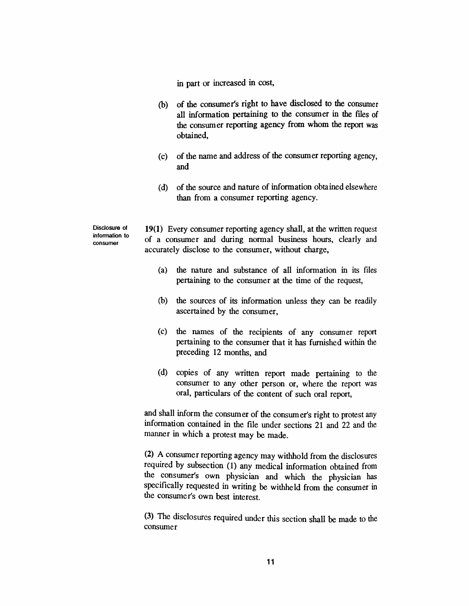*in part or increased in cost,*

- *(b) of the consumer's right to have disclosed to the consumer all information pertaining to the consumer in the files of the consumer reporting agency from whom the report was obtained,*
- *(c) of the name and address of the consumer reporting agency, and*
- *(d) of the source and nature of information obtained elsewhere than from a consumer reporting agency.*

*Disclosure of information to consumer*

*19(1) Every consumer reporting agency shall, at the written request of a consumer and during normal business hours, clearly and accurately disclose to the consumer, without charge,*

- *(a) the nature and substance of all information in its files pertaining to the consumer at the time of the request,*
- *(b) the sources of its information unless they can be readily ascertained by the consumer,*
- *(c) the names of the recipients of any consumer report pertaining to the consumer that it has furnished within the preceding 12 months, and*
- *(d) copies of any written report made pertaining to the consumer to any other person or, where the report was oral, particulars of the content of such oral report,*

*and shall inform the consumer of the consumer's right to protest any information contained in the file under sections 21 and 22 and the manner in which a protest may be made.*

*(2) A consumer reporting agency may withhold from the disclosures required by subsection (1) any medical information obtained from the consumer's own physician and which the physician has specifically requested in writing be withheld from the consumer in the consumer's own best interest.*

*(3) The disclosures required under this section shall be made to the consumer*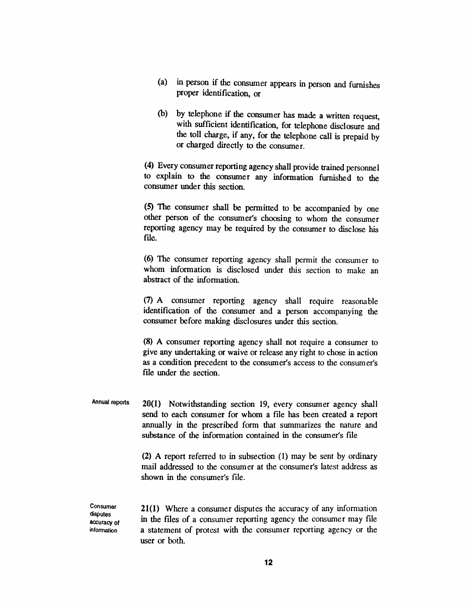- *(a) in person if the consumer appears in person and furnishes proper identification, or*
- *(b) by telephone if the consumer has made a written request, with sufficient identification, for telephone disclosure and the toll charge, if any, for the telephone call is prepaid by or charged directly to the consumer.*

*(4) Every consumer reporting agency shall provide trained personnel to explain to the consumer any information furnished to the consumer under this section.*

*(5) The consumer shall be permitted to be accompanied by one other person of the consumer's choosing to whom the consumer reporting agency may be required by the consumer to disclose his file.*

*(6) The consumer reporting agency shall permit the consumer to whom information is disclosed under this section to make an abstract of the information.*

*(7) A consumer reporting agency shall require reasonable identification of the consumer and a person accompanying the consumer before making disclosures under this section.*

*(8) A consumer reporting agency shall not require a consumer to give any undertaking or waive or release any right to chose in action as a condition precedent to the consumer's access to the consumer's file under the section.*

*Annual reports 20(1) Notwithstanding section 19, every consumer agency shall send to each consumer for whom a file has been created a report annually in the prescribed form that summarizes the nature and substance of the information contained in the consumer's file*

> *(2) A report referred to in subsection (1) may be sent by ordinary mail addressed to the consumer at the consumer's latest address as shown in the consumer's file.*

*Consumer disputes accuracy of information*

*21(1) Where a consumer disputes the accuracy of any information in the files of a consumer reporting agency the consumer may file a statement of protest with the consumer reporting agency or the user or both.*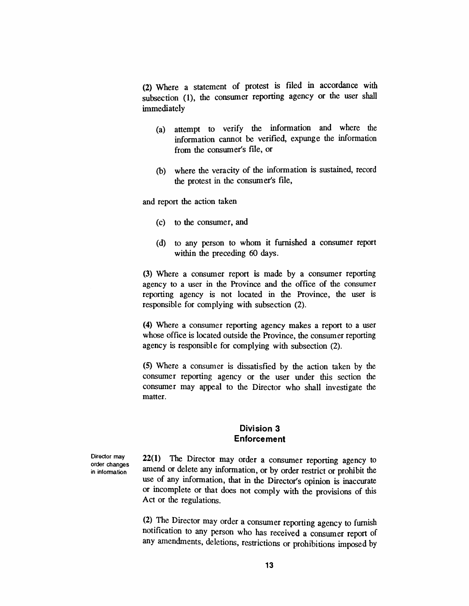*(2) Where a statement of protest is filed in accordance with subsection (1), the consumer reporting agency or the user shall immediately*

- *(a) attempt to verify the information and where the information cannot be verified, expunge the information from the consumer's file, or*
- *(b) where the veracity of the information is sustained, record the protest in the consumer's file,*

*and report the action taken*

- *(c) to the consumer, and*
- *(d) to any person to whom it furnished a consumer report within the preceding 60 days.*

*(3) Where a consumer report is made by a consumer reporting agency to a user in the Province and the office of the consumer reporting agency is not located in the Province, the user is responsible for complying with subsection (2).*

*(4) Where a consumer reporting agency makes a report to a user whose office is located outside the Province, the consumer reporting agency is responsible for complying with subsection (2).*

*(5) Where a consumer is dissatisfied by the action taken by the consumer reporting agency or the user under this section the consumer may appeal to the Director who shall investigate the matter.*

## *Division 3 Enforcement*

*Director may order changes in information*

*22(1) The Director may order a consumer reporting agency to amend or delete any information, or by order restrict or prohibit the use of any information, that in the Director's opinion is inaccurate or incomplete or that does not comply with the provisions of this Act or the regulations.*

*(2) The Director may order a consumer reporting agency to furnish notification to any person who has received a consumer report of any amendments, deletions, restrictions or prohibitions imposed by*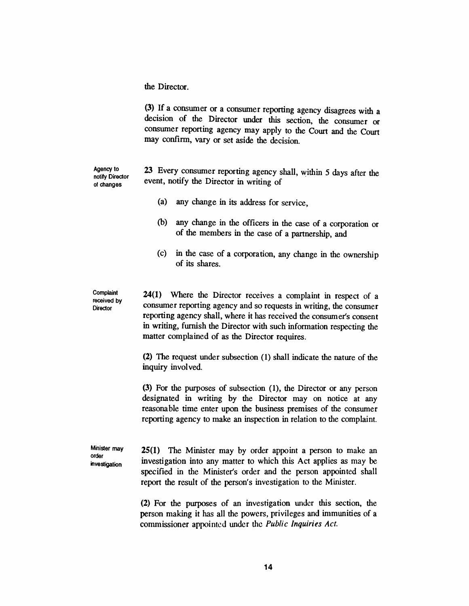*the Director.*

*(3) If a consumer or a consumer reporting agency disagrees with a decision of the Director under this section, the consumer or consumer reporting agency may apply to the Court and the Court may confirm, vary or set aside the decision.*

*Agency to notify Director of changes*

*23 Every consumer reporting agency shall, within 5 days after the event, notify the Director in writing of*

- *(a) any change in its address for service,*
- *(b) any change in the officers in the case of a corporation or of the members in the case of a partnership, and*
- *(c) in the case of a corporation, any change in the ownership of its shares.*

*Complaint received by Director*

*24(1) Where the Director receives a complaint in respect of a consumer reporting agency and so requests in writing, the consumer reporting agency shall, where it has received the consumer's consent in writing, furnish the Director with such information respecting the matter complained of as the Director requires.*

*(2) The request under subsection (1) shall indicate the nature of the inquiry involved.*

*(3) For the purposes of subsection (1), the Director or any person designated in writing by the Director may on notice at any reasonable time enter upon the business premises of the consumer reporting agency to make an inspection in relation to the complaint.*

*Minister may order investigation*

*25(1) The Minister may by order appoint a person to make an investigation into any matter to which this Act applies as may be specified in the Minister's order and the person appointed shall report the result of the person's investigation to the Minister.*

*(2) For the purposes of an investigation under this section, the person making it has all the powers, privileges and immunities of a commissioner appointed under the Public Inquiries Act.*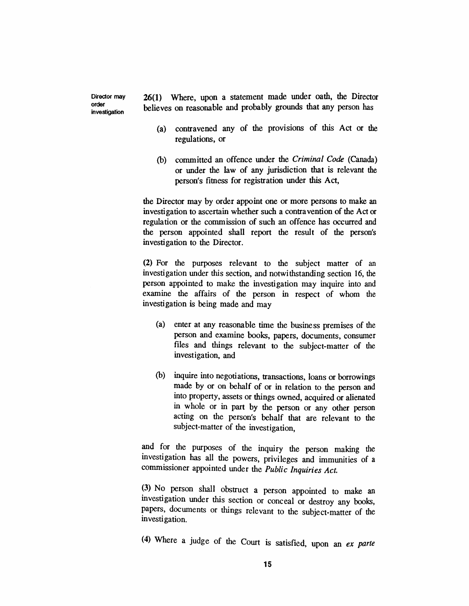*Director may investigation 26(1) Where, upon a statement made under oath, the Director believes on reasonable and probably grounds that any person has*

*order*

- *(a) contravened any of the provisions of this Act or the regulations, or*
- *(b) committed an offence under the Criminal Code (Canada) or under the law of any jurisdiction that is relevant the person's fitness for registration under this Act,*

*the Director may by order appoint one or more persons to make an investigation to ascertain whether such a contravention of the Act or regulation or the commission of such an offence has occurred and the person appointed shall report the result of the person's investigation to the Director.*

*(2) For the purposes relevant to the subject matter of an investigation under this section, and notwithstanding section 16, the person appointed to make the investigation may inquire into and examine the affairs of the person in respect of whom the investigation is being made and may*

- *(a) enter at any reasonable time the business premises of the person and examine books, papers, documents, consumer files and things relevant to the subject-matter of the investigation, and*
- *(b) inquire into negotiations, transactions, loans or borrowings made by or on behalf of or in relation to the person and into property, assets or things owned, acquired or alienated in whole or in part by the person or any other person acting on the person's behalf that are relevant to the subject-matter of the investigation,*

*and for the purposes of the inquiry the person making the investigation has all the powers, privileges and immunities of a commissioner appointed under the Public Inquiries Act.*

*(3) No person shall obstruct a person appointed to make an investigation under this section or conceal or destroy any books, papers, documents or things relevant to the subject-matter of the investigation.*

*(4) Where a judge of the Court is satisfied, upon an ex parte*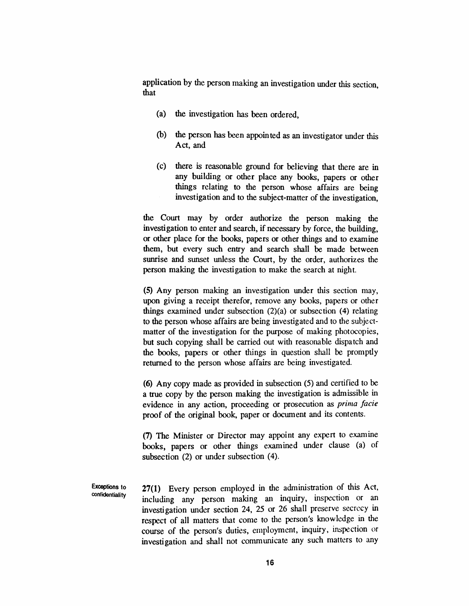*application by the person making an investigation under this section, that*

- *(a) the investigation has been ordered,*
- *(b) the person has been appointed as an investigator under this Act, and*
- *(c) there is reasonable ground for believing that there are in any building or other place any books, papers or other things relating to the person whose affairs are being investigation and to the subject-matter of the investigation,*

*the Court may by order authorize the person making the investigation to enter and search, if necessary by force, the building, or other place for the books, papers or other things and to examine them, but every such entry and search shall be made between sunrise and sunset unless the Court, by the order, authorizes the person making the investigation to make the search at night.*

*(5) Any person making an investigation under this section may, upon giving a receipt therefor, remove any books, papers or other things examined under subsection (2)(a) or subsection (4) relating to the person whose affairs are being investigated and to the subjectmatter of the investigation for the purpose of making photocopies, but such copying shall be carried out with reasonable dispatch and the books, papers or other things in question shall be promptly returned to the person whose affairs are being investigated.*

*(6) Any copy made as provided in subsection (5) and certified to be a true copy by the person making the investigation is admissible in evidence in any action, proceeding or prosecution as prima facie proof of the original book, paper or document and its contents.*

*(7) The Minister or Director may appoint any expert to examine books, papers or other things examined under clause (a) of subsection (2) or under subsection (4).*

*Exceptions to confidentiality*

*27(1) Every person employed in the administration of this Act, including any person making an inquiry, inspection or an investigation under section 24, 25 or 26 shall preserve secrecy in respect of all matters that come to the person's knowledge in the course of the person's duties, employment, inquiry, inspection or investigation and shall not communicate any such matters to any*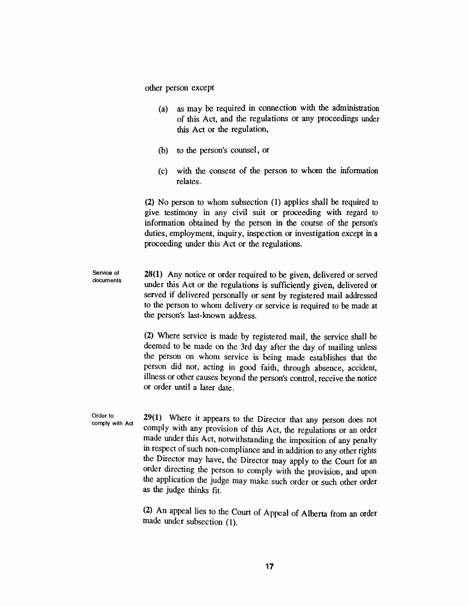*other person except*

- *(a) as may be required in connection with the administration of this Act, and the regulations or any proceedings under this Act or the regulation,*
- *(b) to the person's counsel, or*
- *(c) with the consent of the person to whom the information relates.*

*(2) No person to whom subsection (1) applies shall be required to give testimony in any civil suit or proceeding with regard to information obtained by the person in the course of the person's duties, employment, inquiry, inspection or investigation except in a proceeding under this Act or the regulations.*

*Service of documents 28(1) Any notice or order required to be given, delivered or served under this Act or the regulations is sufficiently given, delivered or served if delivered personally or sent by registered mail addressed to the person to whom delivery or service is required to be made at the person's last-known address.*

> *(2) Where service is made by registered mail, the service shall be deemed to be made on the 3rd day after the day of mailing unless the person on whom service is being made establishes that the person did not, acting in good faith, through absence, accident, illness or other causes beyond the person's control, receive the notice or order until a later date.*

*Order to comply with Act 29(1) Where it appears to the Director that any person does not comply with any provision of this Act, the regulations or an order made under this Act, notwithstanding the imposition of any penalty in respect ofsuch non-compliance and in addition to any other rights the Director may have, the Director may apply to the Court for an order directing the person to comply with the provision, and upon the application the judge may make such order or such other order as the judge thinks fit.*

> *(2) An appeal lies to the Court of Appeal of Alberta from an order made under subsection (1).*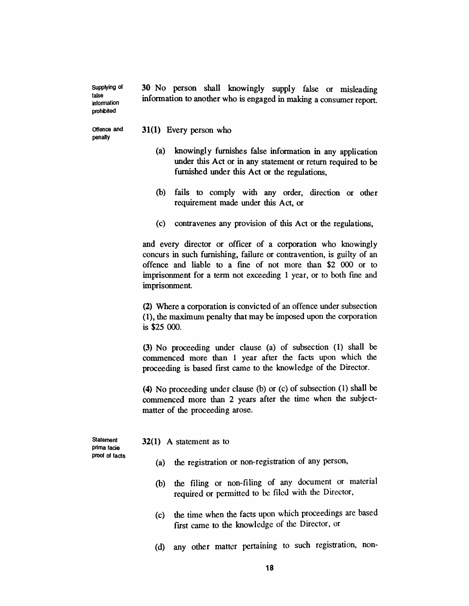*30 No person shall knowingly supply false or misleading information to another who is engaged in making a consumer report.*

*Offence and penalty*

*Supplying of false information prohibited*

*31(1) Every person who*

- *(a) knowingly furnishes false information in any application under this Act or in any statement or return required to be furnished under this Act or the regulations,*
- *(b) fails to comply with any order, direction or other requirement made under this Act, or*
- *(c) contravenes any provision of this Act or the regulations,*

*and every director or officer of a corporation who knowingly concurs in such furnishing, failure or contravention, is guilty of an offence and liable to a fine of not more than \$2 000 or to imprisonment for a term not exceeding <sup>1</sup> year, or to both fine and imprisonment.*

*(2) Where a corporation is convicted of an offence under subsection (1), the maximum penalty that may be imposed upon the corporation is \$25 000.*

*(3) No proceeding under clause (a) of subsection (1) shall be commenced more than <sup>1</sup> year after the facts upon which the proceeding is based first came to the knowledge of the Director.*

*(4) No proceeding under clause (b) or (c) of subsection (1) shall be commenced more than 2 years after the time when the subjectmatter of the proceeding arose.*

*Statement prima facie proof of facts* *32(1) A statement as to*

- *(a) the registration or non-registration of any person,*
- *(b) the filing or non-filing of any document or material required or permitted to be filed with the Director,*
- *(c) the time when the facts upon which proceedings are based first came to the knowledge of the Director, or*
- *(d) any other matter pertaining to such registration, non-*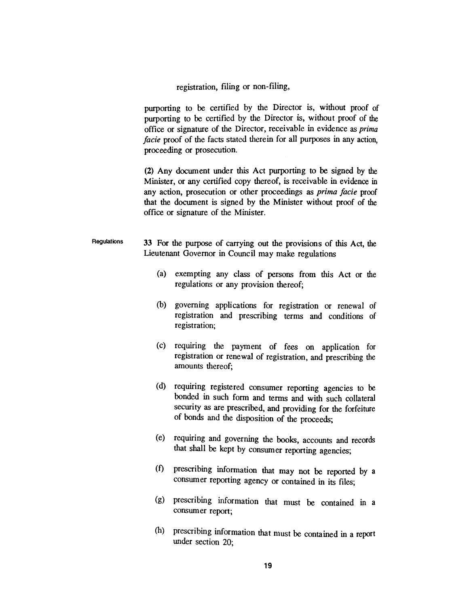*registration, filing or non-filing,*

*purporting to be certified by the Director is, without proof of purporting to be certified by the Director is, without proof of the office or signature of the Director, receivable in evidence as prima facie proof of the facts stated therein for all purposes in any action, proceeding or prosecution.*

*(2) Any document under this Act purporting to be signed by the Minister, or any certified copy thereof, is receivable in evidence in any action, prosecution or other proceedings as prima facie proof that the document is signed by the Minister without proof of the office or signature of the Minister.*

- *Regulations 33 For the purpose of carrying out the provisions of this Act, the Lieutenant Governor in Council may make regulations*
	- *(a) exempting any class of persons from this Act or the regulations or any provision thereof;*
	- *(b) governing applications for registration or renewal of registration and prescribing terms and conditions of registration;*
	- *(c) requiring the payment of fees on application for registration or renewal of registration, and prescribing the amounts thereof;*
	- *(d) requiring registered consumer reporting agencies to be bonded in such form and terms and with such collateral security as are prescribed, and providing for the forfeiture of bonds and the disposition of the proceeds;*
	- *(e) requiring and governing the books, accounts and records that shall be kept by consumer reporting agencies;*
	- *(f) prescribing information that may not be reported by a consumer reporting agency or contained in its files;*
	- *(g) prescribing information that must be contained in a consumer report;*
	- *(h) prescribing information that must be contained in a report under section 20;*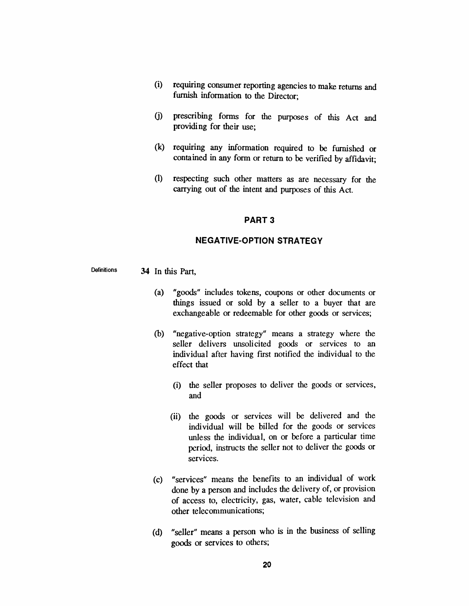- *(i) requiring consumer reporting agencies to make returns and furnish information to the Director;*
- *(j) prescribing forms for the purposes of this Act and providing for their use;*
- *(k) requiring any information required to be furnished or contained in any form or return to be verified by affidavit;*
- *(l) respecting such other matters as are necessary for the carrying out of the intent and purposes of this Act.*

#### *PART 3*

#### *NEGATIVE-OPTION STRATEGY*

- *Definitions 34 In this Part,*
	- *(a) "goods" includes tokens, coupons or other documents or things issued or sold by a seller to a buyer that are exchangeable or redeemable for other goods or services;*
	- *(b) "negative-option strategy" means a strategy where the seller delivers unsolicited goods or services to an individual after having first notified the individual to the effect that*
		- *(i) the seller proposes to deliver the goods or services, and*
		- *(ii) the goods or services will be delivered and the individual will be billed for the goods or services unless the individual, on or before a particular time period, instructs the seller not to deliver the goods or services.*
	- *(c) "services" means the benefits to an individual of work done by a person and includes the delivery of, or provision of access to, electricity, gas, water, cable television and other telecommunications;*
	- *(d) "seller" means a person who is in the business of selling goods or services to others;*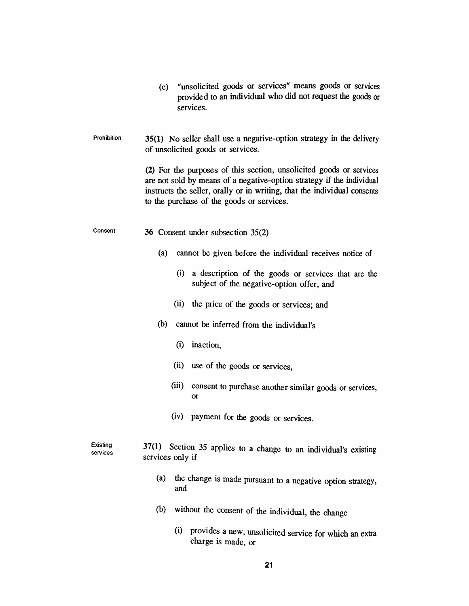|                      | "unsolicited goods or services" means goods or services<br>(e)<br>provided to an individual who did not request the goods or<br>services.                                                                                                                             |
|----------------------|-----------------------------------------------------------------------------------------------------------------------------------------------------------------------------------------------------------------------------------------------------------------------|
| <b>Prohibition</b>   | 35(1) No seller shall use a negative-option strategy in the delivery<br>of unsolicited goods or services.                                                                                                                                                             |
|                      | (2) For the purposes of this section, unsolicited goods or services<br>are not sold by means of a negative-option strategy if the individual<br>instructs the seller, orally or in writing, that the individual consents<br>to the purchase of the goods or services. |
| Consent              | 36 Consent under subsection 35(2)                                                                                                                                                                                                                                     |
|                      | (a)<br>cannot be given before the individual receives notice of                                                                                                                                                                                                       |
|                      | (i)<br>a description of the goods or services that are the<br>subject of the negative-option offer, and                                                                                                                                                               |
|                      | (ii)<br>the price of the goods or services; and                                                                                                                                                                                                                       |
|                      | (b)<br>cannot be inferred from the individual's                                                                                                                                                                                                                       |
|                      | (i)<br>inaction,                                                                                                                                                                                                                                                      |
|                      | (ii)<br>use of the goods or services,                                                                                                                                                                                                                                 |
|                      | (iii)<br>consent to purchase another similar goods or services,<br><b>or</b>                                                                                                                                                                                          |
|                      | (iv)<br>payment for the goods or services.                                                                                                                                                                                                                            |
| Existina<br>services | 37(1) Section 35 applies to a change to an individual's existing<br>services only if                                                                                                                                                                                  |
|                      | (a)<br>the change is made pursuant to a negative option strategy,<br>and                                                                                                                                                                                              |
|                      | (b)<br>without the consent of the individual, the change                                                                                                                                                                                                              |
|                      | (i)<br>provides a new, unsolicited service for which an extra<br>charge is made, or                                                                                                                                                                                   |